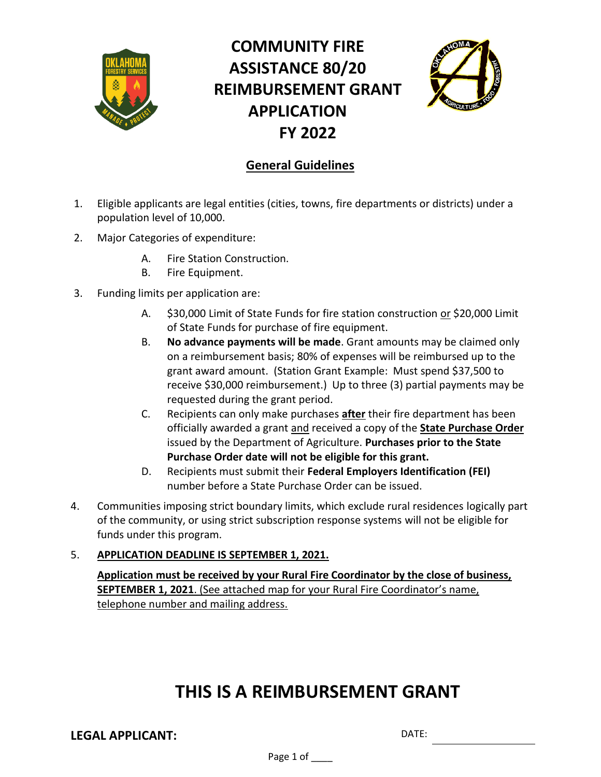

# **COMMUNITY FIRE ASSISTANCE 80/20 REIMBURSEMENT GRANT APPLICATION FY 2022**



## **General Guidelines**

- 1. Eligible applicants are legal entities (cities, towns, fire departments or districts) under a population level of 10,000.
- 2. Major Categories of expenditure:
	- A. Fire Station Construction.
	- B. Fire Equipment.
- 3. Funding limits per application are:
	- A. \$30,000 Limit of State Funds for fire station construction or \$20,000 Limit of State Funds for purchase of fire equipment.
	- B. **No advance payments will be made**. Grant amounts may be claimed only on a reimbursement basis; 80% of expenses will be reimbursed up to the grant award amount. (Station Grant Example: Must spend \$37,500 to receive \$30,000 reimbursement.) Up to three (3) partial payments may be requested during the grant period.
	- C. Recipients can only make purchases **after** their fire department has been officially awarded a grant and received a copy of the **State Purchase Order**  issued by the Department of Agriculture. **Purchases prior to the State Purchase Order date will not be eligible for this grant.**
	- D. Recipients must submit their **Federal Employers Identification (FEI)** number before a State Purchase Order can be issued.
- 4. Communities imposing strict boundary limits, which exclude rural residences logically part of the community, or using strict subscription response systems will not be eligible for funds under this program.

### 5. **APPLICATION DEADLINE IS SEPTEMBER 1, 2021.**

**Application must be received by your Rural Fire Coordinator by the close of business, SEPTEMBER 1, 2021**. (See attached map for your Rural Fire Coordinator's name, telephone number and mailing address.

# **THIS IS A REIMBURSEMENT GRANT**

**LEGAL APPLICANT:** DATE:

Page 1 of \_\_\_\_\_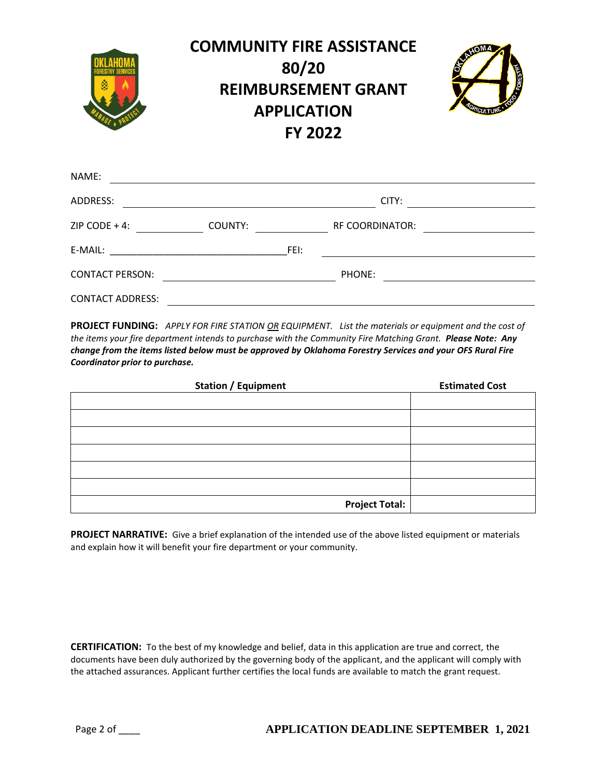

| ADDRESS:                |         |      | CITY:                  |  |
|-------------------------|---------|------|------------------------|--|
| ZIP CODE + 4:           | COUNTY: |      | <b>RF COORDINATOR:</b> |  |
| E-MAIL:                 |         | FEI: |                        |  |
| <b>CONTACT PERSON:</b>  |         |      | PHONE:                 |  |
| <b>CONTACT ADDRESS:</b> |         |      |                        |  |

**PROJECT FUNDING:** *APPLY FOR FIRE STATION OR EQUIPMENT. List the materials or equipment and the cost of the items your fire department intends to purchase with the Community Fire Matching Grant. Please Note: Any change from the items listed below must be approved by Oklahoma Forestry Services and your OFS Rural Fire Coordinator prior to purchase.*

| <b>Station / Equipment</b> | <b>Estimated Cost</b> |
|----------------------------|-----------------------|
|                            |                       |
|                            |                       |
|                            |                       |
|                            |                       |
|                            |                       |
|                            |                       |
| <b>Project Total:</b>      |                       |

**PROJECT NARRATIVE:** Give a brief explanation of the intended use of the above listed equipment or materials and explain how it will benefit your fire department or your community.

**CERTIFICATION:** To the best of my knowledge and belief, data in this application are true and correct, the documents have been duly authorized by the governing body of the applicant, and the applicant will comply with the attached assurances. Applicant further certifies the local funds are available to match the grant request.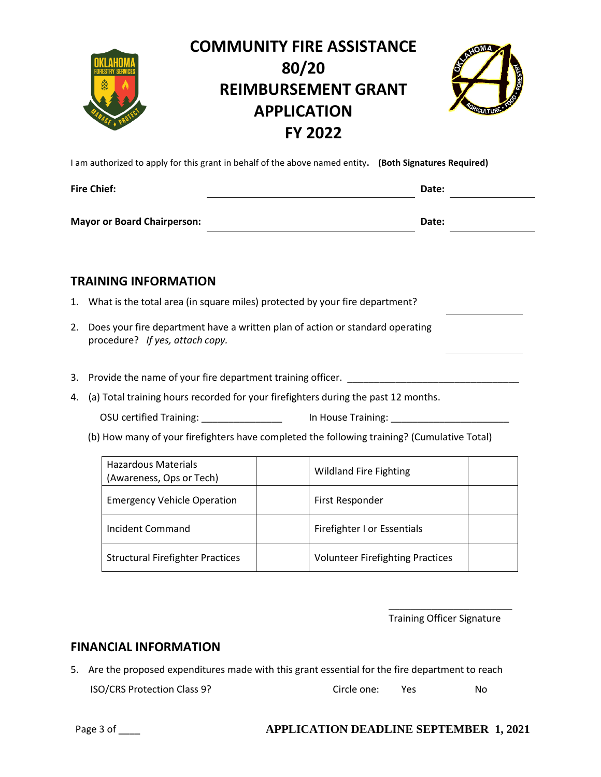

# **COMMUNITY FIRE ASSISTANCE 80/20 REIMBURSEMENT GRANT APPLICATION FY 2022**



I am authorized to apply for this grant in behalf of the above named entity**. (Both Signatures Required)**

| <b>Fire Chief:</b>                 | Date: |
|------------------------------------|-------|
| <b>Mayor or Board Chairperson:</b> | Date: |

### **TRAINING INFORMATION**

- 1. What is the total area (in square miles) protected by your fire department?
- 2. Does your fire department have a written plan of action or standard operating procedure? *If yes, attach copy.*
- 3. Provide the name of your fire department training officer.
- 4. (a) Total training hours recorded for your firefighters during the past 12 months.
	- OSU certified Training: \_\_\_\_\_\_\_\_\_\_\_\_\_\_\_\_\_\_\_\_\_ In House Training: \_\_\_\_\_\_\_\_\_\_\_\_\_\_\_
	- (b) How many of your firefighters have completed the following training? (Cumulative Total)

| <b>Hazardous Materials</b><br>(Awareness, Ops or Tech) | <b>Wildland Fire Fighting</b>           |
|--------------------------------------------------------|-----------------------------------------|
| <b>Emergency Vehicle Operation</b>                     | First Responder                         |
| Incident Command                                       | Firefighter I or Essentials             |
| <b>Structural Firefighter Practices</b>                | <b>Volunteer Firefighting Practices</b> |

 $\overline{\phantom{a}}$  , and the contract of the contract of the contract of the contract of the contract of the contract of the contract of the contract of the contract of the contract of the contract of the contract of the contrac

Training Officer Signature

#### **FINANCIAL INFORMATION**

5. Are the proposed expenditures made with this grant essential for the fire department to reach

| ISO/CRS Protection Class 9? | Circle one: |  | No |
|-----------------------------|-------------|--|----|
|-----------------------------|-------------|--|----|

#### Page 3 of \_\_\_\_ **APPLICATION DEADLINE SEPTEMBER 1, 2021**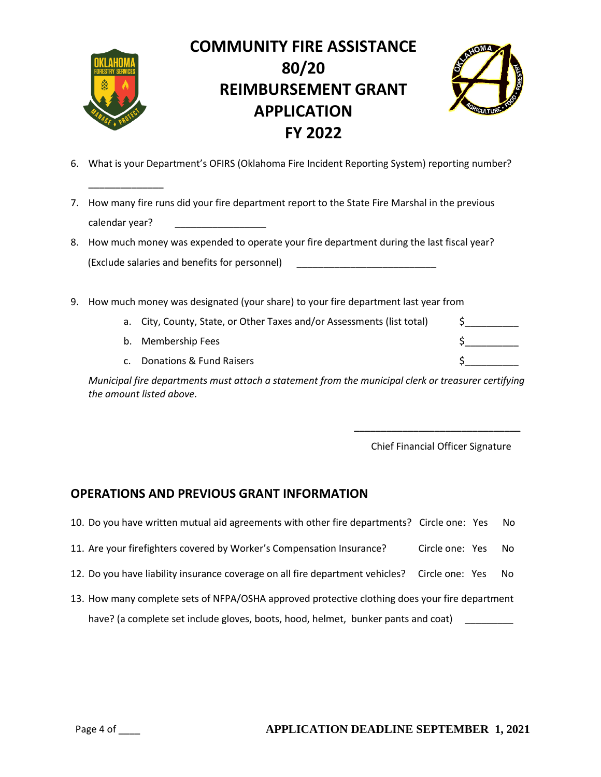

\_\_\_\_\_\_\_\_\_\_\_\_\_\_

# **COMMUNITY FIRE ASSISTANCE 80/20 REIMBURSEMENT GRANT APPLICATION FY 2022**



- 6. What is your Department's OFIRS (Oklahoma Fire Incident Reporting System) reporting number?
- 7. How many fire runs did your fire department report to the State Fire Marshal in the previous calendar year?
- 8. How much money was expended to operate your fire department during the last fiscal year? (Exclude salaries and benefits for personnel) \_\_\_\_\_\_\_\_\_\_\_\_\_\_\_\_\_\_\_\_\_\_\_\_\_\_
- 9. How much money was designated (your share) to your fire department last year from
	- a. City, County, State, or Other Taxes and/or Assessments (list total)  $\begin{array}{c} \xi \end{array}$
	- b. Membership Fees  $\zeta$
	- c. Donations & Fund Raisers  $\sim$  5

*Municipal fire departments must attach a statement from the municipal clerk or treasurer certifying the amount listed above.*

 **\_\_\_\_\_\_\_\_\_\_\_\_\_\_\_\_\_\_\_\_\_\_\_\_\_\_\_\_\_\_\_**

Chief Financial Officer Signature

### **OPERATIONS AND PREVIOUS GRANT INFORMATION**

| 10. Do you have written mutual aid agreements with other fire departments? Circle one: Yes     |                 |  | No. |  |
|------------------------------------------------------------------------------------------------|-----------------|--|-----|--|
| 11. Are your firefighters covered by Worker's Compensation Insurance?                          | Circle one: Yes |  | No. |  |
| 12. Do you have liability insurance coverage on all fire department vehicles? Circle one: Yes  |                 |  |     |  |
| 13. How many complete sets of NFPA/OSHA approved protective clothing does your fire department |                 |  |     |  |
| have? (a complete set include gloves, boots, hood, helmet, bunker pants and coat)              |                 |  |     |  |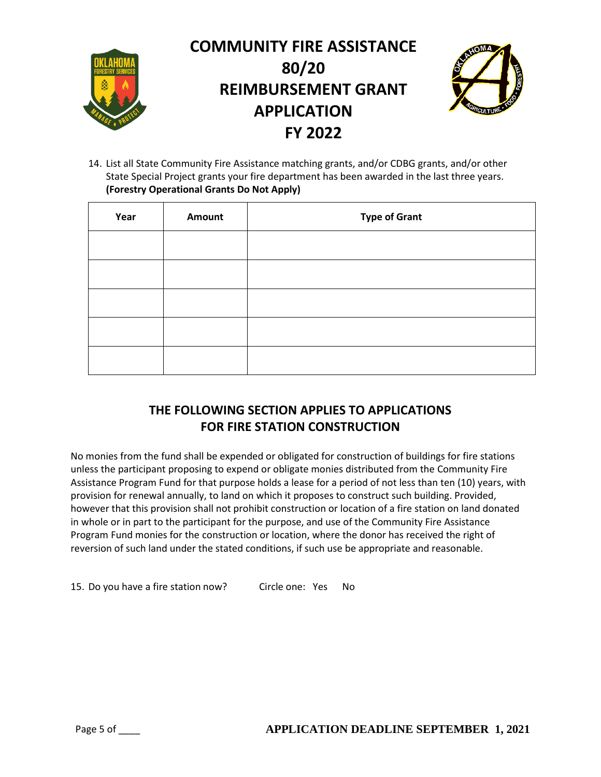

14. List all State Community Fire Assistance matching grants, and/or CDBG grants, and/or other State Special Project grants your fire department has been awarded in the last three years. **(Forestry Operational Grants Do Not Apply)** 

| Year | <b>Amount</b> | <b>Type of Grant</b> |
|------|---------------|----------------------|
|      |               |                      |
|      |               |                      |
|      |               |                      |
|      |               |                      |
|      |               |                      |

## **THE FOLLOWING SECTION APPLIES TO APPLICATIONS FOR FIRE STATION CONSTRUCTION**

No monies from the fund shall be expended or obligated for construction of buildings for fire stations unless the participant proposing to expend or obligate monies distributed from the Community Fire Assistance Program Fund for that purpose holds a lease for a period of not less than ten (10) years, with provision for renewal annually, to land on which it proposes to construct such building. Provided, however that this provision shall not prohibit construction or location of a fire station on land donated in whole or in part to the participant for the purpose, and use of the Community Fire Assistance Program Fund monies for the construction or location, where the donor has received the right of reversion of such land under the stated conditions, if such use be appropriate and reasonable.

15. Do you have a fire station now? Circle one: Yes No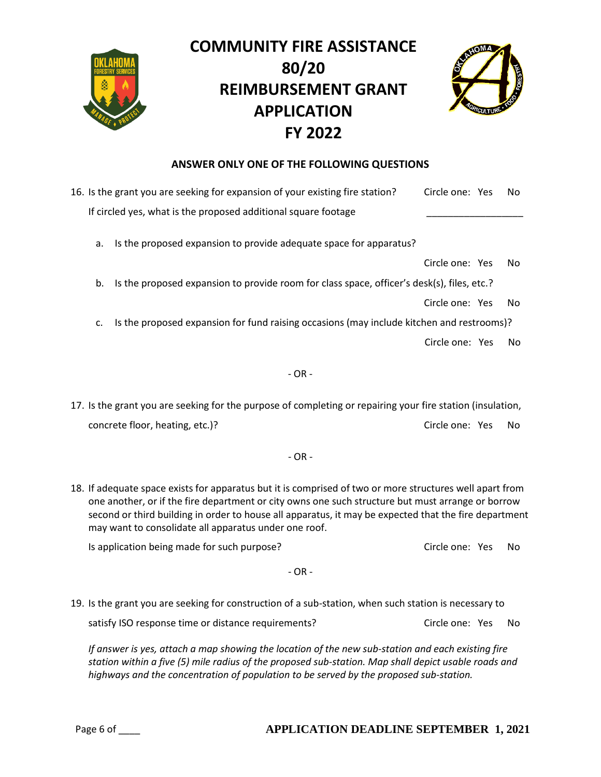

# **COMMUNITY FIRE ASSISTANCE 80/20 REIMBURSEMENT GRANT APPLICATION FY 2022**



#### **ANSWER ONLY ONE OF THE FOLLOWING QUESTIONS**

| 16. Is the grant you are seeking for expansion of your existing fire station?                                                                                                                                                                                                                                                                                                   | Circle one: Yes |  | No |
|---------------------------------------------------------------------------------------------------------------------------------------------------------------------------------------------------------------------------------------------------------------------------------------------------------------------------------------------------------------------------------|-----------------|--|----|
| If circled yes, what is the proposed additional square footage                                                                                                                                                                                                                                                                                                                  |                 |  |    |
| Is the proposed expansion to provide adequate space for apparatus?<br>a.                                                                                                                                                                                                                                                                                                        |                 |  |    |
|                                                                                                                                                                                                                                                                                                                                                                                 | Circle one: Yes |  | No |
| Is the proposed expansion to provide room for class space, officer's desk(s), files, etc.?<br>b.                                                                                                                                                                                                                                                                                |                 |  |    |
|                                                                                                                                                                                                                                                                                                                                                                                 | Circle one: Yes |  | No |
| Is the proposed expansion for fund raising occasions (may include kitchen and restrooms)?<br>c.                                                                                                                                                                                                                                                                                 |                 |  |    |
|                                                                                                                                                                                                                                                                                                                                                                                 | Circle one: Yes |  | No |
| $- OR -$                                                                                                                                                                                                                                                                                                                                                                        |                 |  |    |
| 17. Is the grant you are seeking for the purpose of completing or repairing your fire station (insulation,                                                                                                                                                                                                                                                                      |                 |  |    |
| concrete floor, heating, etc.)?                                                                                                                                                                                                                                                                                                                                                 | Circle one: Yes |  | No |
| $-OR -$                                                                                                                                                                                                                                                                                                                                                                         |                 |  |    |
| 18. If adequate space exists for apparatus but it is comprised of two or more structures well apart from<br>one another, or if the fire department or city owns one such structure but must arrange or borrow<br>second or third building in order to house all apparatus, it may be expected that the fire department<br>may want to consolidate all apparatus under one roof. |                 |  |    |
| Is application being made for such purpose?                                                                                                                                                                                                                                                                                                                                     | Circle one: Yes |  | No |
| $-OR -$                                                                                                                                                                                                                                                                                                                                                                         |                 |  |    |
| 19. Is the grant you are seeking for construction of a sub-station, when such station is necessary to                                                                                                                                                                                                                                                                           |                 |  |    |

satisfy ISO response time or distance requirements? Circle one: Yes No

*If answer is yes, attach a map showing the location of the new sub-station and each existing fire station within a five (5) mile radius of the proposed sub-station. Map shall depict usable roads and highways and the concentration of population to be served by the proposed sub-station.*